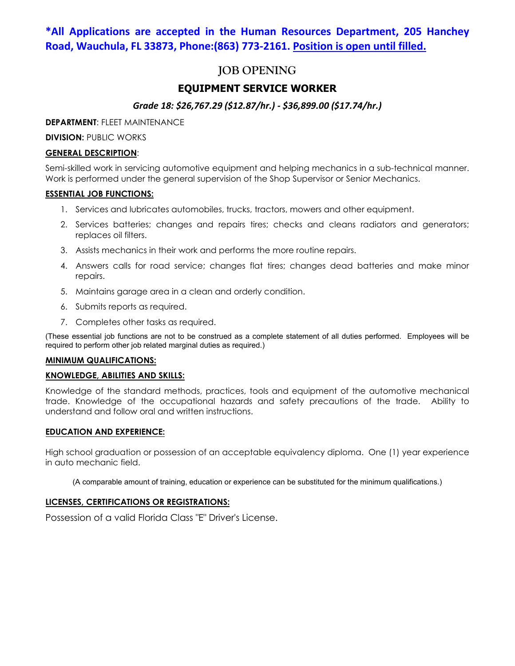### **\*All Applications are accepted in the Human Resources Department, 205 Hanchey Road, Wauchula, FL 33873, Phone:(863) 773-2161. Position is open until filled.**

# **JOB OPENING**

### **EQUIPMENT SERVICE WORKER**

### *Grade 18: \$26,767.29 (\$12.87/hr.) - \$36,899.00 (\$17.74/hr.)*

**DEPARTMENT**: FLEET MAINTENANCE

**DIVISION: PUBLIC WORKS** 

#### **GENERAL DESCRIPTION**:

Semi-skilled work in servicing automotive equipment and helping mechanics in a sub-technical manner. Work is performed under the general supervision of the Shop Supervisor or Senior Mechanics.

#### **ESSENTIAL JOB FUNCTIONS:**

- 1. Services and lubricates automobiles, trucks, tractors, mowers and other equipment.
- 2. Services batteries; changes and repairs tires; checks and cleans radiators and generators; replaces oil filters.
- 3. Assists mechanics in their work and performs the more routine repairs.
- 4. Answers calls for road service; changes flat tires; changes dead batteries and make minor repairs.
- 5. Maintains garage area in a clean and orderly condition.
- 6. Submits reports as required.
- 7. Completes other tasks as required.

(These essential job functions are not to be construed as a complete statement of all duties performed. Employees will be required to perform other job related marginal duties as required.)

#### **MINIMUM QUALIFICATIONS:**

#### **KNOWLEDGE, ABILITIES AND SKILLS:**

Knowledge of the standard methods, practices, tools and equipment of the automotive mechanical trade. Knowledge of the occupational hazards and safety precautions of the trade. Ability to understand and follow oral and written instructions.

#### **EDUCATION AND EXPERIENCE:**

High school graduation or possession of an acceptable equivalency diploma. One (1) year experience in auto mechanic field.

(A comparable amount of training, education or experience can be substituted for the minimum qualifications.)

#### **LICENSES, CERTIFICATIONS OR REGISTRATIONS:**

Possession of a valid Florida Class "E" Driver's License.